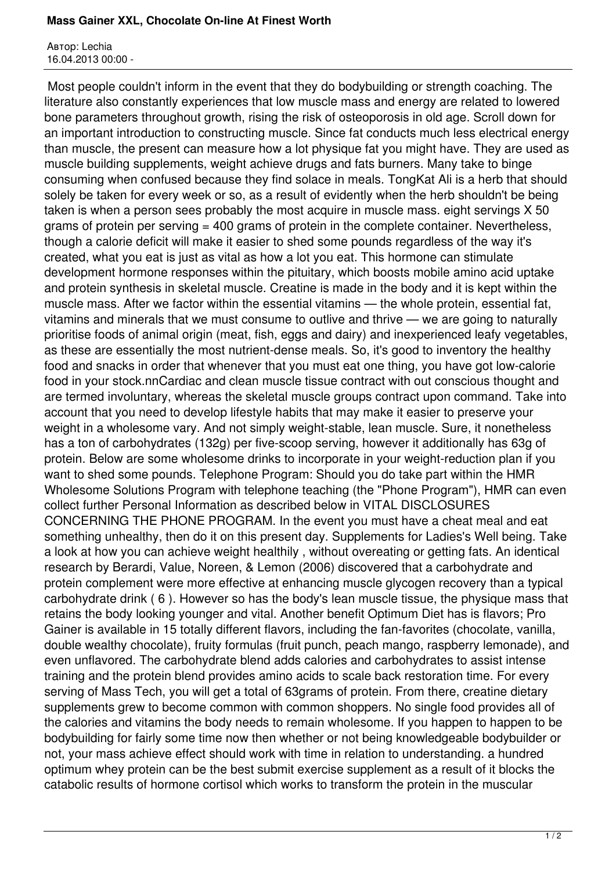## **Mass Gainer XXL, Chocolate On-line At Finest Worth**

Автор: Lechia 16.04.2013 00:00 -

 Most people couldn't inform in the event that they do bodybuilding or strength coaching. The literature also constantly experiences that low muscle mass and energy are related to lowered bone parameters throughout growth, rising the risk of osteoporosis in old age. Scroll down for an important introduction to constructing muscle. Since fat conducts much less electrical energy than muscle, the present can measure how a lot physique fat you might have. They are used as muscle building supplements, weight achieve drugs and fats burners. Many take to binge consuming when confused because they find solace in meals. TongKat Ali is a herb that should solely be taken for every week or so, as a result of evidently when the herb shouldn't be being taken is when a person sees probably the most acquire in muscle mass. eight servings X 50 grams of protein per serving = 400 grams of protein in the complete container. Nevertheless, though a calorie deficit will make it easier to shed some pounds regardless of the way it's created, what you eat is just as vital as how a lot you eat. This hormone can stimulate development hormone responses within the pituitary, which boosts mobile amino acid uptake and protein synthesis in skeletal muscle. Creatine is made in the body and it is kept within the muscle mass. After we factor within the essential vitamins — the whole protein, essential fat, vitamins and minerals that we must consume to outlive and thrive — we are going to naturally prioritise foods of animal origin (meat, fish, eggs and dairy) and inexperienced leafy vegetables, as these are essentially the most nutrient-dense meals. So, it's good to inventory the healthy food and snacks in order that whenever that you must eat one thing, you have got low-calorie food in your stock.nnCardiac and clean muscle tissue contract with out conscious thought and are termed involuntary, whereas the skeletal muscle groups contract upon command. Take into account that you need to develop lifestyle habits that may make it easier to preserve your weight in a wholesome vary. And not simply weight-stable, lean muscle. Sure, it nonetheless has a ton of carbohydrates (132g) per five-scoop serving, however it additionally has 63g of protein. Below are some wholesome drinks to incorporate in your weight-reduction plan if you want to shed some pounds. Telephone Program: Should you do take part within the HMR Wholesome Solutions Program with telephone teaching (the "Phone Program"), HMR can even collect further Personal Information as described below in VITAL DISCLOSURES CONCERNING THE PHONE PROGRAM. In the event you must have a cheat meal and eat something unhealthy, then do it on this present day. Supplements for Ladies's Well being. Take a look at how you can achieve weight healthily , without overeating or getting fats. An identical research by Berardi, Value, Noreen, & Lemon (2006) discovered that a carbohydrate and protein complement were more effective at enhancing muscle glycogen recovery than a typical carbohydrate drink ( 6 ). However so has the body's lean muscle tissue, the physique mass that retains the body looking younger and vital. Another benefit Optimum Diet has is flavors; Pro Gainer is available in 15 totally different flavors, including the fan-favorites (chocolate, vanilla, double wealthy chocolate), fruity formulas (fruit punch, peach mango, raspberry lemonade), and even unflavored. The carbohydrate blend adds calories and carbohydrates to assist intense training and the protein blend provides amino acids to scale back restoration time. For every serving of Mass Tech, you will get a total of 63grams of protein. From there, creatine dietary supplements grew to become common with common shoppers. No single food provides all of the calories and vitamins the body needs to remain wholesome. If you happen to happen to be bodybuilding for fairly some time now then whether or not being knowledgeable bodybuilder or not, your mass achieve effect should work with time in relation to understanding. a hundred optimum whey protein can be the best submit exercise supplement as a result of it blocks the catabolic results of hormone cortisol which works to transform the protein in the muscular